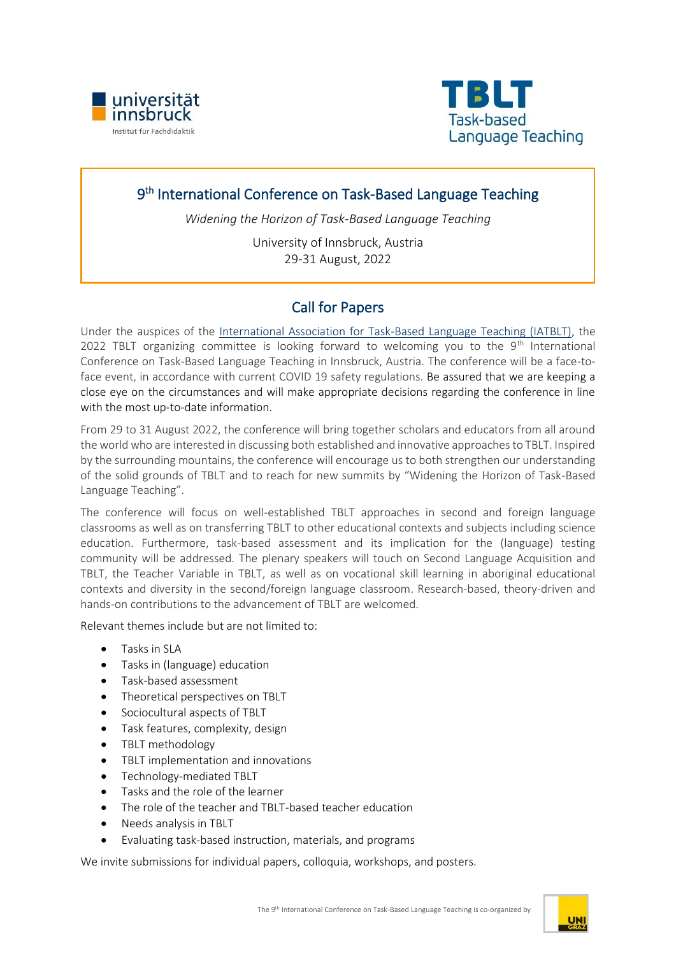



# 9<sup>th</sup> International Conference on Task-Based Language Teaching

*Widening the Horizon of Task-Based Language Teaching*

University of Innsbruck, Austria 29-31 August, 2022

# Call for Papers

Under the auspices of the [International Association for Task-Based Language Teaching \(IATBLT\),](https://www.iatblt.org/) the 2022 TBLT organizing committee is looking forward to welcoming you to the  $9<sup>th</sup>$  International Conference on Task-Based Language Teaching in Innsbruck, Austria. The conference will be a face-toface event, in accordance with current COVID 19 safety regulations. Be assured that we are keeping a close eye on the circumstances and will make appropriate decisions regarding the conference in line with the most up-to-date information.

From 29 to 31 August 2022, the conference will bring together scholars and educators from all around the world who are interested in discussing both established and innovative approaches to TBLT. Inspired by the surrounding mountains, the conference will encourage us to both strengthen our understanding of the solid grounds of TBLT and to reach for new summits by "Widening the Horizon of Task-Based Language Teaching".

The conference will focus on well-established TBLT approaches in second and foreign language classrooms as well as on transferring TBLT to other educational contexts and subjects including science education. Furthermore, task-based assessment and its implication for the (language) testing community will be addressed. The plenary speakers will touch on Second Language Acquisition and TBLT, the Teacher Variable in TBLT, as well as on vocational skill learning in aboriginal educational contexts and diversity in the second/foreign language classroom. Research-based, theory-driven and hands-on contributions to the advancement of TBLT are welcomed.

Relevant themes include but are not limited to:

- Tasks in SLA
- Tasks in (language) education
- Task-based assessment
- Theoretical perspectives on TBLT
- Sociocultural aspects of TBLT
- Task features, complexity, design
- TBLT methodology
- TBLT implementation and innovations
- Technology-mediated TBLT
- Tasks and the role of the learner
- The role of the teacher and TBLT-based teacher education
- Needs analysis in TBLT
- Evaluating task-based instruction, materials, and programs

We invite submissions for individual papers, colloquia, workshops, and posters.

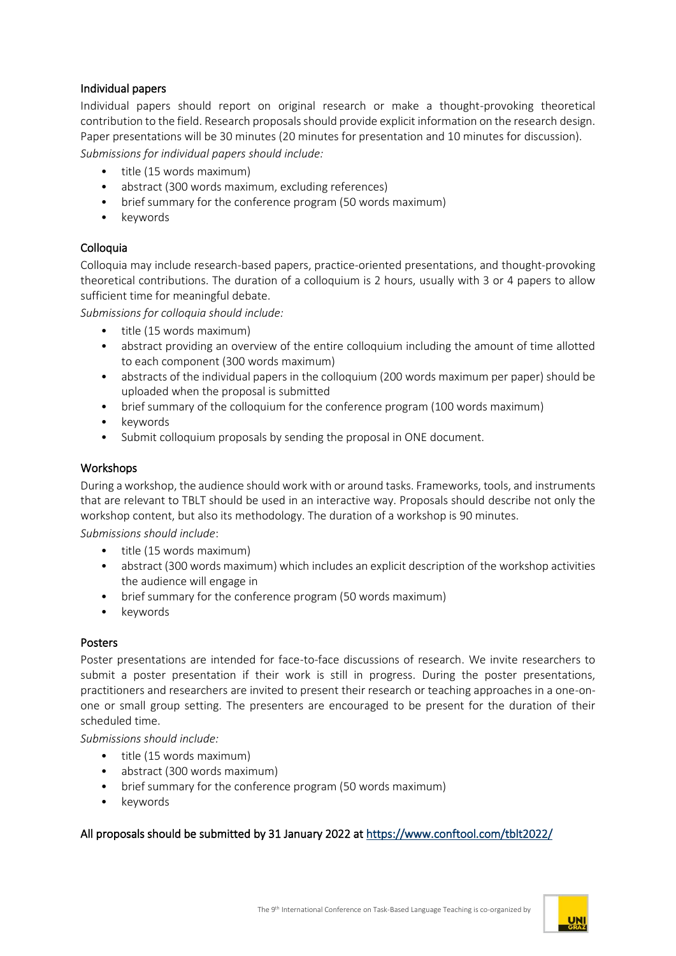## Individual papers

Individual papers should report on original research or make a thought-provoking theoretical contribution to the field. Research proposals should provide explicit information on the research design. Paper presentations will be 30 minutes (20 minutes for presentation and 10 minutes for discussion).

*Submissions for individual papers should include:*

- title (15 words maximum)
- abstract (300 words maximum, excluding references)
- brief summary for the conference program (50 words maximum)
- keywords

## Colloquia

Colloquia may include research-based papers, practice-oriented presentations, and thought-provoking theoretical contributions. The duration of a colloquium is 2 hours, usually with 3 or 4 papers to allow sufficient time for meaningful debate.

*Submissions for colloquia should include:*

- title (15 words maximum)
- abstract providing an overview of the entire colloquium including the amount of time allotted to each component (300 words maximum)
- abstracts of the individual papers in the colloquium (200 words maximum per paper) should be uploaded when the proposal is submitted
- brief summary of the colloquium for the conference program (100 words maximum)
- keywords
- Submit colloquium proposals by sending the proposal in ONE document.

### Workshops

During a workshop, the audience should work with or around tasks. Frameworks, tools, and instruments that are relevant to TBLT should be used in an interactive way. Proposals should describe not only the workshop content, but also its methodology. The duration of a workshop is 90 minutes.

*Submissions should include*:

- title (15 words maximum)
- abstract (300 words maximum) which includes an explicit description of the workshop activities the audience will engage in
- brief summary for the conference program (50 words maximum)
- keywords

### Posters

Poster presentations are intended for face-to-face discussions of research. We invite researchers to submit a poster presentation if their work is still in progress. During the poster presentations, practitioners and researchers are invited to present their research or teaching approaches in a one-onone or small group setting. The presenters are encouraged to be present for the duration of their scheduled time.

*Submissions should include:*

- title (15 words maximum)
- abstract (300 words maximum)
- brief summary for the conference program (50 words maximum)
- keywords

### All proposals should be submitted by 31 January 2022 a[t https://www.conftool.com/tblt2022/](https://www.conftool.com/tblt2022/)